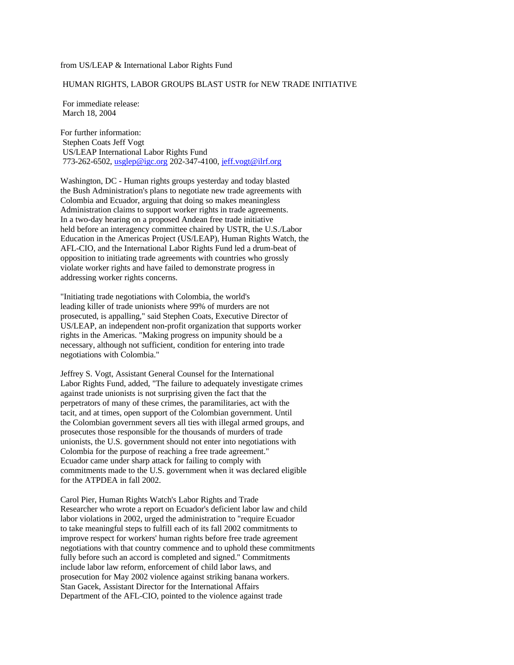## from US/LEAP & International Labor Rights Fund

## HUMAN RIGHTS, LABOR GROUPS BLAST USTR for NEW TRADE INITIATIVE

 For immediate release: March 18, 2004

For further information: Stephen Coats Jeff Vogt US/LEAP International Labor Rights Fund 773-262-6502, usglep@igc.org 202-347-4100, jeff.vogt@ilrf.org

Washington, DC - Human rights groups yesterday and today blasted the Bush Administration's plans to negotiate new trade agreements with Colombia and Ecuador, arguing that doing so makes meaningless Administration claims to support worker rights in trade agreements. In a two-day hearing on a proposed Andean free trade initiative held before an interagency committee chaired by USTR, the U.S./Labor Education in the Americas Project (US/LEAP), Human Rights Watch, the AFL-CIO, and the International Labor Rights Fund led a drum-beat of opposition to initiating trade agreements with countries who grossly violate worker rights and have failed to demonstrate progress in addressing worker rights concerns.

"Initiating trade negotiations with Colombia, the world's leading killer of trade unionists where 99% of murders are not prosecuted, is appalling," said Stephen Coats, Executive Director of US/LEAP, an independent non-profit organization that supports worker rights in the Americas. "Making progress on impunity should be a necessary, although not sufficient, condition for entering into trade negotiations with Colombia."

Jeffrey S. Vogt, Assistant General Counsel for the International Labor Rights Fund, added, "The failure to adequately investigate crimes against trade unionists is not surprising given the fact that the perpetrators of many of these crimes, the paramilitaries, act with the tacit, and at times, open support of the Colombian government. Until the Colombian government severs all ties with illegal armed groups, and prosecutes those responsible for the thousands of murders of trade unionists, the U.S. government should not enter into negotiations with Colombia for the purpose of reaching a free trade agreement." Ecuador came under sharp attack for failing to comply with commitments made to the U.S. government when it was declared eligible for the ATPDEA in fall 2002.

Carol Pier, Human Rights Watch's Labor Rights and Trade Researcher who wrote a report on Ecuador's deficient labor law and child labor violations in 2002, urged the administration to "require Ecuador to take meaningful steps to fulfill each of its fall 2002 commitments to improve respect for workers' human rights before free trade agreement negotiations with that country commence and to uphold these commitments fully before such an accord is completed and signed." Commitments include labor law reform, enforcement of child labor laws, and prosecution for May 2002 violence against striking banana workers. Stan Gacek, Assistant Director for the International Affairs Department of the AFL-CIO, pointed to the violence against trade